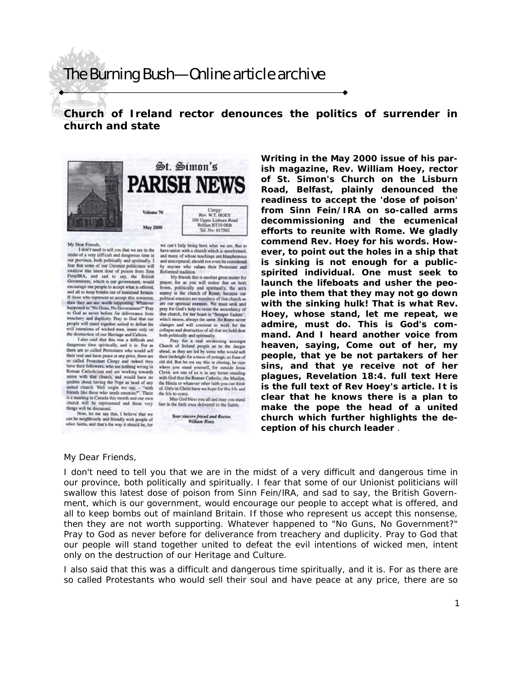## The Burning Bush—Online article archive

**Church of Ireland rector denounces the politics of surrender in church and state** 



## My Dear Friends

I don't need to tell you that we are in the<br>midst of a very difficult and dangerous time in our province, both politically and spiritually. I<br>fear that some of our Unionist politicians will w this latest dose of poison from Sina swal Fein/IRA, and sad to say, the British<br>Government, which is our government, would encourage our people to accept what is offered. and all to keep bombs out of mainfand Britain.<br>If done who represent us accept this nonsense, thus they are not worth supporting. Whatever tion and the No Guns, No Government?" Pray<br>to God as never before for deliverance from<br>treschery and duplicity. Pray to God that our people will stand together united to defeat the<br>evil intentions of wicked men, intent only on<br>the destruction of our Heritage and Culture.

I also said that this was a difficult and<br>dangerous time spiritually, and it is. For as<br>there are so called Protestants who would sell their roal and have peace at any price, there are<br>so called Protestant Clergy and indeed they have their followers, who see nothing wrong in Roman Catholicism and are working towards<br>union with that church, and would have no qualms about having the Pope as head of any<br>united church. Well might we say, - "with<br>friends like these who seeds enemies?". There is a meeting in Canada this month and our own church will be represented and these very things will be discussed.

Now, let me say this, I believe that we<br>can be neighbourly and friendly with people of<br>other faids, and that's the way it should be, for

we can't help being horn what we are. But to<br>have union with a church which is unreformed, and many of whose teachings are blasphemous and unscriptural, should not even be considered by anyone who values their Protestant and Reformed tradition

My friends this is another great mitter for prayer, for as you will notice that on both<br>fronts, politically and spiritually, the arch<br>enemy is the church of Rome, because our political enemies are members of that charch as<br>an our speritual enemies. We must seek and<br>pray for God's help to resust the ascendancy of that church, for her boast is "Semper Eadem" which means, always the same. So Rome never<br>changes and will continue to work for the collapse and destruction of all that we hold dear

coffiques and determined all that we hold dear<br>beth politically and spiritually.<br>They for a real awakening amongst<br>cheech of Iralasd people as to the danger<br>shed, as they are led by seens who would sell<br>their hitcheight fo old did. But let me say this in closing, be sure<br>where you stand yourself, for outside Jesus<br>Christ, not one of us is in any better standing<br>with God that the Roman Catholic, the Muslim. the Hindu or whatever other faith you can think<br>of. Only in Christ have we hope for this life and the life to come May God bless you all and may you stand

fast in the faith once delivered to the Saints. Your sincere friend and Rector. William Hoes.

**ish magazine, Rev. William Hoey, rector of St. Simon's Church on the Lisburn Road, Belfast, plainly denounced the readiness to accept the 'dose of poison' from Sinn Fein/IRA on so-called arms decommissioning and the ecumenical efforts to reunite with Rome. We gladly commend Rev. Hoey for his words. However, to point out the holes in a ship that is sinking is not enough for a publicspirited individual. One must seek to launch the lifeboats and usher the people into them that they may not go down with the sinking hulk! That is what Rev. Hoey, whose stand, let me repeat, we admire, must do. This is God's command.** *And I heard another voice from heaven, saying, Come out of her, my people, that ye be not partakers of her sins, and that ye receive not of her plagues,* **Revelation 18:4. full text Here is the full text of Rev Hoey's article. It is clear that he knows there is a plan to make the pope the head of a united church which further highlights the deception of his church leader** .

**Writing in the May 2000 issue of his par-**

## My Dear Friends,

I don't need to tell you that we are in the midst of a very difficult and dangerous time in our province, both politically and spiritually. I fear that some of our Unionist politicians will swallow this latest dose of poison from Sinn Fein/lRA, and sad to say, the British Government, which is our government, would encourage our people to accept what is offered, and all to keep bombs out of mainland Britain. If those who represent us accept this nonsense, then they are not worth supporting. Whatever happened to "No Guns, No Government?" Pray to God as never before for deliverance from treachery and duplicity. Pray to God that our people will stand together united to defeat the evil intentions of wicked men, intent only on the destruction of our Heritage and Culture.

I also said that this was a difficult and dangerous time spiritually, and it is. For as there are so called Protestants who would sell their soul and have peace at any price, there are so